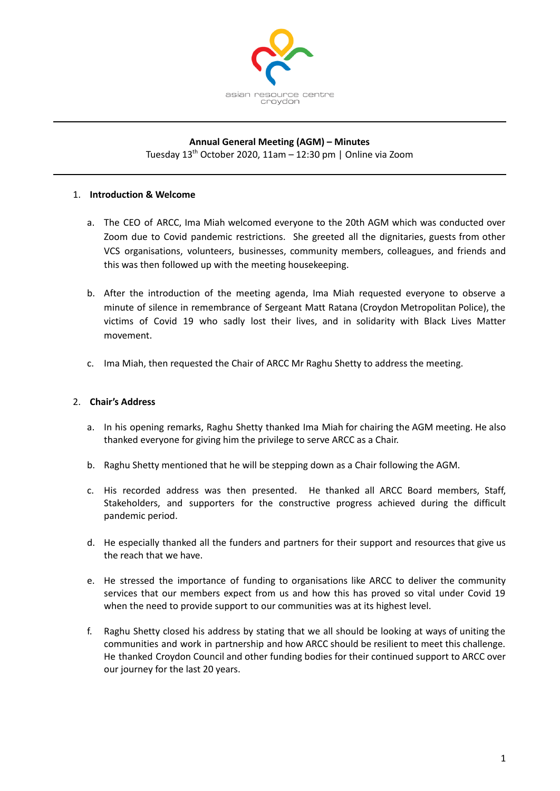

## **Annual General Meeting (AGM) – Minutes**

Tuesday 13 th October 2020, 11am – 12:30 pm | Online via Zoom

#### 1. **Introduction & Welcome**

- a. The CEO of ARCC, Ima Miah welcomed everyone to the 20th AGM which was conducted over Zoom due to Covid pandemic restrictions. She greeted all the dignitaries, guests from other VCS organisations, volunteers, businesses, community members, colleagues, and friends and this was then followed up with the meeting housekeeping.
- b. After the introduction of the meeting agenda, Ima Miah requested everyone to observe a minute of silence in remembrance of Sergeant Matt Ratana (Croydon Metropolitan Police), the victims of Covid 19 who sadly lost their lives, and in solidarity with Black Lives Matter movement.
- c. Ima Miah, then requested the Chair of ARCC Mr Raghu Shetty to address the meeting.

#### 2. **Chair's Address**

- a. In his opening remarks, Raghu Shetty thanked Ima Miah for chairing the AGM meeting. He also thanked everyone for giving him the privilege to serve ARCC as a Chair.
- b. Raghu Shetty mentioned that he will be stepping down as a Chair following the AGM.
- c. His recorded address was then presented. He thanked all ARCC Board members, Staff, Stakeholders, and supporters for the constructive progress achieved during the difficult pandemic period.
- d. He especially thanked all the funders and partners for their support and resources that give us the reach that we have.
- e. He stressed the importance of funding to organisations like ARCC to deliver the community services that our members expect from us and how this has proved so vital under Covid 19 when the need to provide support to our communities was at its highest level.
- f. Raghu Shetty closed his address by stating that we all should be looking at ways of uniting the communities and work in partnership and how ARCC should be resilient to meet this challenge. He thanked Croydon Council and other funding bodies for their continued support to ARCC over our journey for the last 20 years.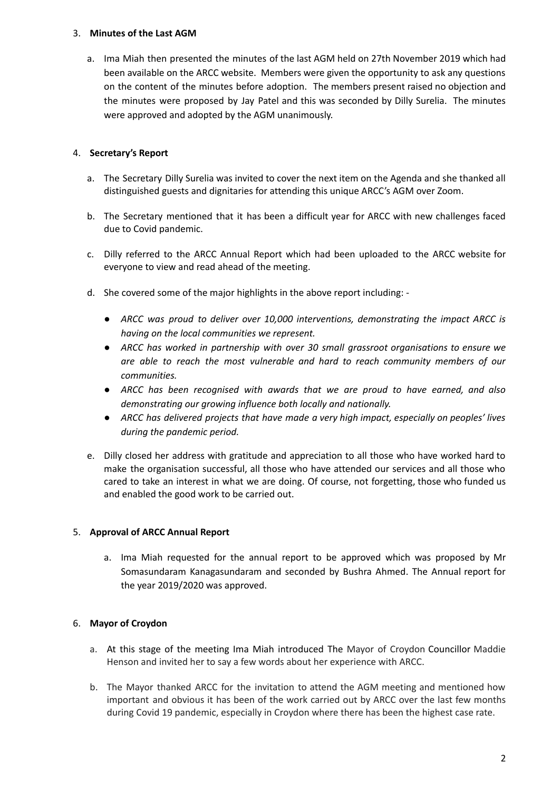## 3. **Minutes of the Last AGM**

a. Ima Miah then presented the minutes of the last AGM held on 27th November 2019 which had been available on the ARCC website. Members were given the opportunity to ask any questions on the content of the minutes before adoption. The members present raised no objection and the minutes were proposed by Jay Patel and this was seconded by Dilly Surelia. The minutes were approved and adopted by the AGM unanimously.

## 4. **Secretary's Report**

- a. The Secretary Dilly Surelia was invited to cover the next item on the Agenda and she thanked all distinguished guests and dignitaries for attending this unique ARCC's AGM over Zoom.
- b. The Secretary mentioned that it has been a difficult year for ARCC with new challenges faced due to Covid pandemic.
- c. Dilly referred to the ARCC Annual Report which had been uploaded to the ARCC website for everyone to view and read ahead of the meeting.
- d. She covered some of the major highlights in the above report including:
	- *● ARCC was proud to deliver over 10,000 interventions, demonstrating the impact ARCC is having on the local communities we represent.*
	- *● ARCC has worked in partnership with over 30 small grassroot organisations to ensure we are able to reach the most vulnerable and hard to reach community members of our communities.*
	- *● ARCC has been recognised with awards that we are proud to have earned, and also demonstrating our growing influence both locally and nationally.*
	- *● ARCC has delivered projects that have made a very high impact, especially on peoples' lives during the pandemic period.*
- e. Dilly closed her address with gratitude and appreciation to all those who have worked hard to make the organisation successful, all those who have attended our services and all those who cared to take an interest in what we are doing. Of course, not forgetting, those who funded us and enabled the good work to be carried out.

# 5. **Approval of ARCC Annual Report**

a. Ima Miah requested for the annual report to be approved which was proposed by Mr Somasundaram Kanagasundaram and seconded by Bushra Ahmed. The Annual report for the year 2019/2020 was approved.

# 6. **Mayor of Croydon**

- a. At this stage of the meeting Ima Miah introduced The Mayor of Croydon Councillor Maddie Henson and invited her to say a few words about her experience with ARCC.
- b. The Mayor thanked ARCC for the invitation to attend the AGM meeting and mentioned how important and obvious it has been of the work carried out by ARCC over the last few months during Covid 19 pandemic, especially in Croydon where there has been the highest case rate.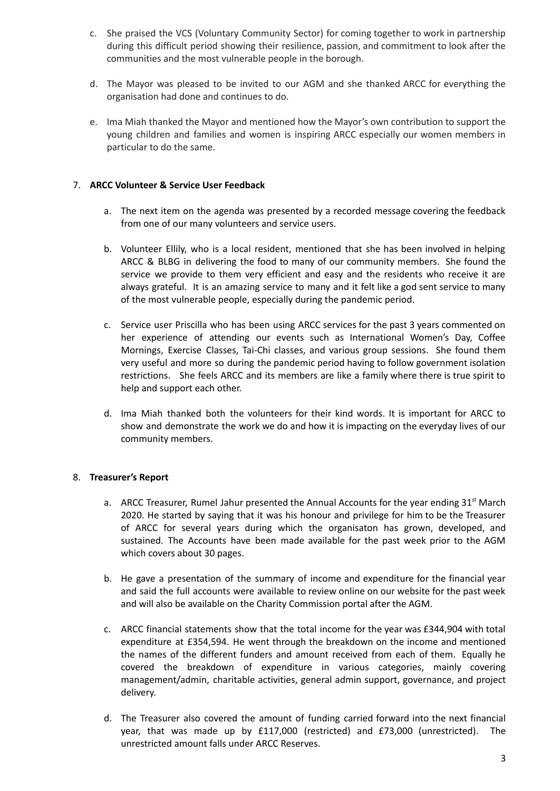- c. She praised the VCS (Voluntary Community Sector) for coming together to work in partnership during this difficult period showing their resilience, passion, and commitment to look after the communities and the most vulnerable people in the borough.
- d. The Mayor was pleased to be invited to our AGM and she thanked ARCC for everything the organisation had done and continues to do.
- e. Ima Miah thanked the Mayor and mentioned how the Mayor's own contribution to support the young children and families and women is inspiring ARCC especially our women members in particular to do the same.

## 7. **ARCC Volunteer & Service User Feedback**

- a. The next item on the agenda was presented by a recorded message covering the feedback from one of our many volunteers and service users.
- b. Volunteer Ellily, who is a local resident, mentioned that she has been involved in helping ARCC & BLBG in delivering the food to many of our community members. She found the service we provide to them very efficient and easy and the residents who receive it are always grateful. It is an amazing service to many and it felt like a god sent service to many of the most vulnerable people, especially during the pandemic period.
- c. Service user Priscilla who has been using ARCC services for the past 3 years commented on her experience of attending our events such as International Women's Day, Coffee Mornings, Exercise Classes, Tai-Chi classes, and various group sessions. She found them very useful and more so during the pandemic period having to follow government isolation restrictions. She feels ARCC and its members are like a family where there is true spirit to help and support each other.
- d. Ima Miah thanked both the volunteers for their kind words. It is important for ARCC to show and demonstrate the work we do and how it is impacting on the everyday lives of our community members.

## 8. **Treasurer's Report**

- a. ARCC Treasurer, Rumel Jahur presented the Annual Accounts for the year ending 31<sup>st</sup> March 2020. He started by saying that it was his honour and privilege for him to be the Treasurer of ARCC for several years during which the organisaton has grown, developed, and sustained. The Accounts have been made available for the past week prior to the AGM which covers about 30 pages.
- b. He gave a presentation of the summary of income and expenditure for the financial year and said the full accounts were available to review online on our website for the past week and will also be available on the Charity Commission portal after the AGM.
- c. ARCC financial statements show that the total income for the year was £344,904 with total expenditure at £354,594. He went through the breakdown on the income and mentioned the names of the different funders and amount received from each of them. Equally he covered the breakdown of expenditure in various categories, mainly covering management/admin, charitable activities, general admin support, governance, and project delivery.
- d. The Treasurer also covered the amount of funding carried forward into the next financial year, that was made up by £117,000 (restricted) and £73,000 (unrestricted). The unrestricted amount falls under ARCC Reserves.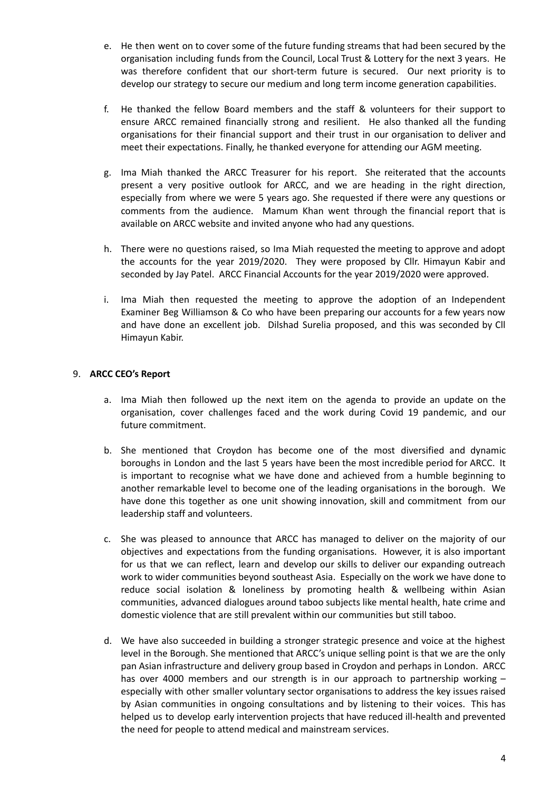- e. He then went on to cover some of the future funding streams that had been secured by the organisation including funds from the Council, Local Trust & Lottery for the next 3 years. He was therefore confident that our short-term future is secured. Our next priority is to develop our strategy to secure our medium and long term income generation capabilities.
- f. He thanked the fellow Board members and the staff & volunteers for their support to ensure ARCC remained financially strong and resilient. He also thanked all the funding organisations for their financial support and their trust in our organisation to deliver and meet their expectations. Finally, he thanked everyone for attending our AGM meeting.
- g. Ima Miah thanked the ARCC Treasurer for his report. She reiterated that the accounts present a very positive outlook for ARCC, and we are heading in the right direction, especially from where we were 5 years ago. She requested if there were any questions or comments from the audience. Mamum Khan went through the financial report that is available on ARCC website and invited anyone who had any questions.
- h. There were no questions raised, so Ima Miah requested the meeting to approve and adopt the accounts for the year 2019/2020. They were proposed by Cllr. Himayun Kabir and seconded by Jay Patel. ARCC Financial Accounts for the year 2019/2020 were approved.
- i. Ima Miah then requested the meeting to approve the adoption of an Independent Examiner Beg Williamson & Co who have been preparing our accounts for a few years now and have done an excellent job. Dilshad Surelia proposed, and this was seconded by Cll Himayun Kabir.

## 9. **ARCC CEO's Report**

- a. Ima Miah then followed up the next item on the agenda to provide an update on the organisation, cover challenges faced and the work during Covid 19 pandemic, and our future commitment.
- b. She mentioned that Croydon has become one of the most diversified and dynamic boroughs in London and the last 5 years have been the most incredible period for ARCC. It is important to recognise what we have done and achieved from a humble beginning to another remarkable level to become one of the leading organisations in the borough. We have done this together as one unit showing innovation, skill and commitment from our leadership staff and volunteers.
- c. She was pleased to announce that ARCC has managed to deliver on the majority of our objectives and expectations from the funding organisations. However, it is also important for us that we can reflect, learn and develop our skills to deliver our expanding outreach work to wider communities beyond southeast Asia. Especially on the work we have done to reduce social isolation & loneliness by promoting health & wellbeing within Asian communities, advanced dialogues around taboo subjects like mental health, hate crime and domestic violence that are still prevalent within our communities but still taboo.
- d. We have also succeeded in building a stronger strategic presence and voice at the highest level in the Borough. She mentioned that ARCC's unique selling point is that we are the only pan Asian infrastructure and delivery group based in Croydon and perhaps in London. ARCC has over 4000 members and our strength is in our approach to partnership working – especially with other smaller voluntary sector organisations to address the key issues raised by Asian communities in ongoing consultations and by listening to their voices. This has helped us to develop early intervention projects that have reduced ill-health and prevented the need for people to attend medical and mainstream services.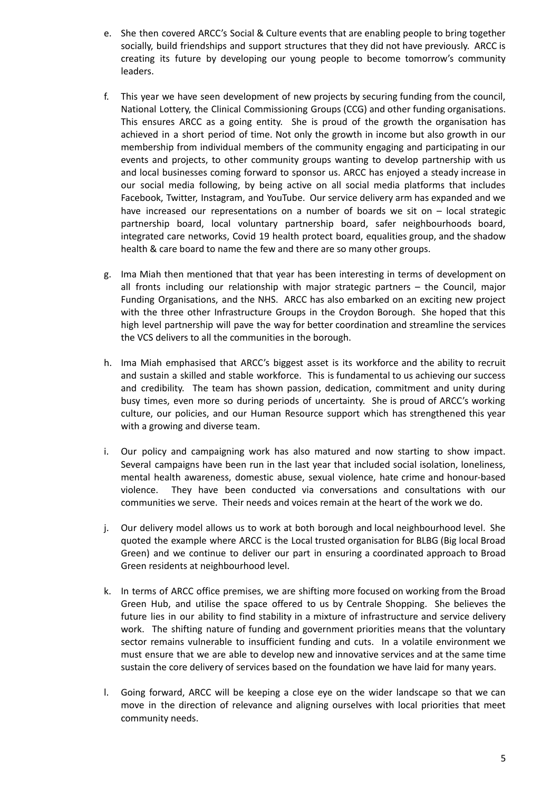- e. She then covered ARCC's Social & Culture events that are enabling people to bring together socially, build friendships and support structures that they did not have previously. ARCC is creating its future by developing our young people to become tomorrow's community leaders.
- f. This year we have seen development of new projects by securing funding from the council, National Lottery, the Clinical Commissioning Groups (CCG) and other funding organisations. This ensures ARCC as a going entity. She is proud of the growth the organisation has achieved in a short period of time. Not only the growth in income but also growth in our membership from individual members of the community engaging and participating in our events and projects, to other community groups wanting to develop partnership with us and local businesses coming forward to sponsor us. ARCC has enjoyed a steady increase in our social media following, by being active on all social media platforms that includes Facebook, Twitter, Instagram, and YouTube. Our service delivery arm has expanded and we have increased our representations on a number of boards we sit on – local strategic partnership board, local voluntary partnership board, safer neighbourhoods board, integrated care networks, Covid 19 health protect board, equalities group, and the shadow health & care board to name the few and there are so many other groups.
- g. Ima Miah then mentioned that that year has been interesting in terms of development on all fronts including our relationship with major strategic partners – the Council, major Funding Organisations, and the NHS. ARCC has also embarked on an exciting new project with the three other Infrastructure Groups in the Croydon Borough. She hoped that this high level partnership will pave the way for better coordination and streamline the services the VCS delivers to all the communities in the borough.
- h. Ima Miah emphasised that ARCC's biggest asset is its workforce and the ability to recruit and sustain a skilled and stable workforce. This is fundamental to us achieving our success and credibility. The team has shown passion, dedication, commitment and unity during busy times, even more so during periods of uncertainty. She is proud of ARCC's working culture, our policies, and our Human Resource support which has strengthened this year with a growing and diverse team.
- i. Our policy and campaigning work has also matured and now starting to show impact. Several campaigns have been run in the last year that included social isolation, loneliness, mental health awareness, domestic abuse, sexual violence, hate crime and honour-based violence. They have been conducted via conversations and consultations with our communities we serve. Their needs and voices remain at the heart of the work we do.
- j. Our delivery model allows us to work at both borough and local neighbourhood level. She quoted the example where ARCC is the Local trusted organisation for BLBG (Big local Broad Green) and we continue to deliver our part in ensuring a coordinated approach to Broad Green residents at neighbourhood level.
- k. In terms of ARCC office premises, we are shifting more focused on working from the Broad Green Hub, and utilise the space offered to us by Centrale Shopping. She believes the future lies in our ability to find stability in a mixture of infrastructure and service delivery work. The shifting nature of funding and government priorities means that the voluntary sector remains vulnerable to insufficient funding and cuts. In a volatile environment we must ensure that we are able to develop new and innovative services and at the same time sustain the core delivery of services based on the foundation we have laid for many years.
- l. Going forward, ARCC will be keeping a close eye on the wider landscape so that we can move in the direction of relevance and aligning ourselves with local priorities that meet community needs.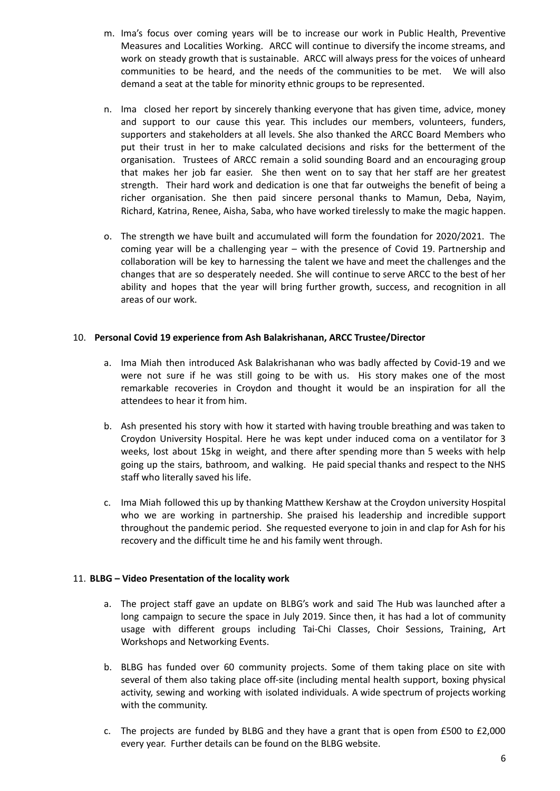- m. Ima's focus over coming years will be to increase our work in Public Health, Preventive Measures and Localities Working. ARCC will continue to diversify the income streams, and work on steady growth that is sustainable. ARCC will always press for the voices of unheard communities to be heard, and the needs of the communities to be met. We will also demand a seat at the table for minority ethnic groups to be represented.
- n. Ima closed her report by sincerely thanking everyone that has given time, advice, money and support to our cause this year. This includes our members, volunteers, funders, supporters and stakeholders at all levels. She also thanked the ARCC Board Members who put their trust in her to make calculated decisions and risks for the betterment of the organisation. Trustees of ARCC remain a solid sounding Board and an encouraging group that makes her job far easier. She then went on to say that her staff are her greatest strength. Their hard work and dedication is one that far outweighs the benefit of being a richer organisation. She then paid sincere personal thanks to Mamun, Deba, Nayim, Richard, Katrina, Renee, Aisha, Saba, who have worked tirelessly to make the magic happen.
- o. The strength we have built and accumulated will form the foundation for 2020/2021. The coming year will be a challenging year – with the presence of Covid 19. Partnership and collaboration will be key to harnessing the talent we have and meet the challenges and the changes that are so desperately needed. She will continue to serve ARCC to the best of her ability and hopes that the year will bring further growth, success, and recognition in all areas of our work.

#### 10. **Personal Covid 19 experience from Ash Balakrishanan, ARCC Trustee/Director**

- a. Ima Miah then introduced Ask Balakrishanan who was badly affected by Covid-19 and we were not sure if he was still going to be with us. His story makes one of the most remarkable recoveries in Croydon and thought it would be an inspiration for all the attendees to hear it from him.
- b. Ash presented his story with how it started with having trouble breathing and was taken to Croydon University Hospital. Here he was kept under induced coma on a ventilator for 3 weeks, lost about 15kg in weight, and there after spending more than 5 weeks with help going up the stairs, bathroom, and walking. He paid special thanks and respect to the NHS staff who literally saved his life.
- c. Ima Miah followed this up by thanking Matthew Kershaw at the Croydon university Hospital who we are working in partnership. She praised his leadership and incredible support throughout the pandemic period. She requested everyone to join in and clap for Ash for his recovery and the difficult time he and his family went through.

#### 11. **BLBG – Video Presentation of the locality work**

- a. The project staff gave an update on BLBG's work and said The Hub was launched after a long campaign to secure the space in July 2019. Since then, it has had a lot of community usage with different groups including Tai-Chi Classes, Choir Sessions, Training, Art Workshops and Networking Events.
- b. BLBG has funded over 60 community projects. Some of them taking place on site with several of them also taking place off-site (including mental health support, boxing physical activity, sewing and working with isolated individuals. A wide spectrum of projects working with the community.
- c. The projects are funded by BLBG and they have a grant that is open from £500 to £2,000 every year. Further details can be found on the BLBG website.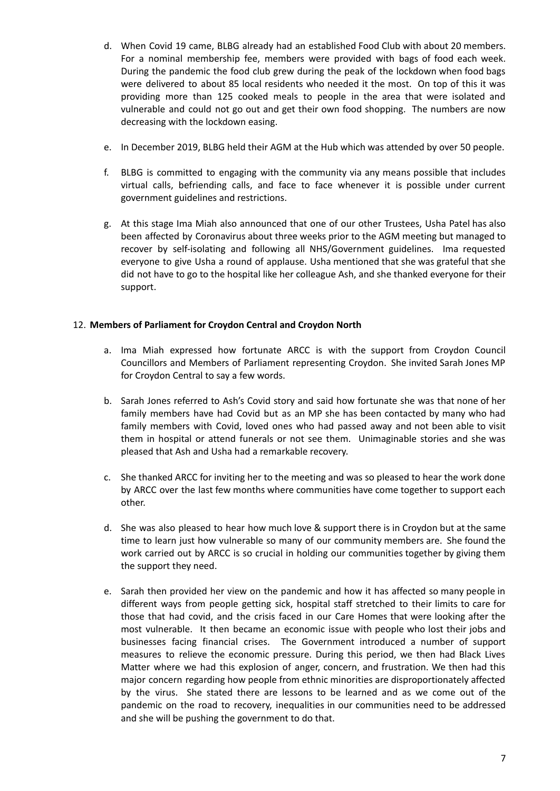- d. When Covid 19 came, BLBG already had an established Food Club with about 20 members. For a nominal membership fee, members were provided with bags of food each week. During the pandemic the food club grew during the peak of the lockdown when food bags were delivered to about 85 local residents who needed it the most. On top of this it was providing more than 125 cooked meals to people in the area that were isolated and vulnerable and could not go out and get their own food shopping. The numbers are now decreasing with the lockdown easing.
- e. In December 2019, BLBG held their AGM at the Hub which was attended by over 50 people.
- f. BLBG is committed to engaging with the community via any means possible that includes virtual calls, befriending calls, and face to face whenever it is possible under current government guidelines and restrictions.
- g. At this stage Ima Miah also announced that one of our other Trustees, Usha Patel has also been affected by Coronavirus about three weeks prior to the AGM meeting but managed to recover by self-isolating and following all NHS/Government guidelines. Ima requested everyone to give Usha a round of applause. Usha mentioned that she was grateful that she did not have to go to the hospital like her colleague Ash, and she thanked everyone for their support.

## 12. **Members of Parliament for Croydon Central and Croydon North**

- a. Ima Miah expressed how fortunate ARCC is with the support from Croydon Council Councillors and Members of Parliament representing Croydon. She invited Sarah Jones MP for Croydon Central to say a few words.
- b. Sarah Jones referred to Ash's Covid story and said how fortunate she was that none of her family members have had Covid but as an MP she has been contacted by many who had family members with Covid, loved ones who had passed away and not been able to visit them in hospital or attend funerals or not see them. Unimaginable stories and she was pleased that Ash and Usha had a remarkable recovery.
- c. She thanked ARCC for inviting her to the meeting and was so pleased to hear the work done by ARCC over the last few months where communities have come together to support each other.
- d. She was also pleased to hear how much love & support there is in Croydon but at the same time to learn just how vulnerable so many of our community members are. She found the work carried out by ARCC is so crucial in holding our communities together by giving them the support they need.
- e. Sarah then provided her view on the pandemic and how it has affected so many people in different ways from people getting sick, hospital staff stretched to their limits to care for those that had covid, and the crisis faced in our Care Homes that were looking after the most vulnerable. It then became an economic issue with people who lost their jobs and businesses facing financial crises. The Government introduced a number of support measures to relieve the economic pressure. During this period, we then had Black Lives Matter where we had this explosion of anger, concern, and frustration. We then had this major concern regarding how people from ethnic minorities are disproportionately affected by the virus. She stated there are lessons to be learned and as we come out of the pandemic on the road to recovery, inequalities in our communities need to be addressed and she will be pushing the government to do that.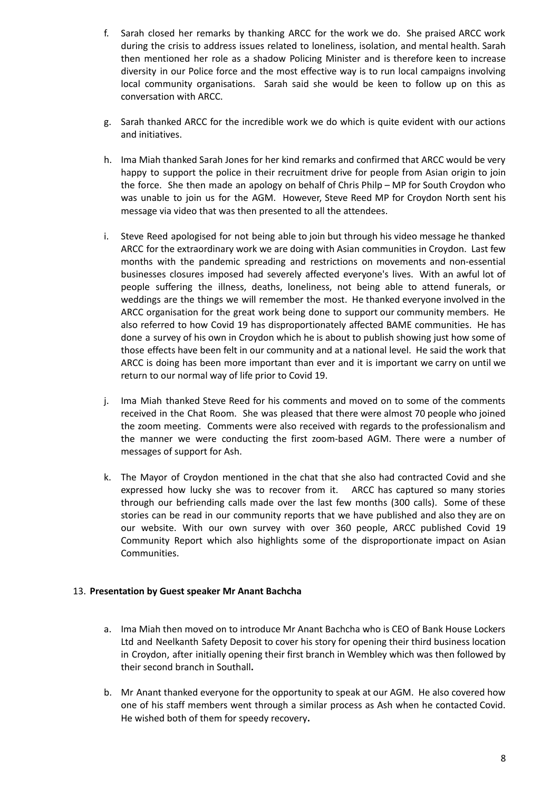- f. Sarah closed her remarks by thanking ARCC for the work we do. She praised ARCC work during the crisis to address issues related to loneliness, isolation, and mental health. Sarah then mentioned her role as a shadow Policing Minister and is therefore keen to increase diversity in our Police force and the most effective way is to run local campaigns involving local community organisations. Sarah said she would be keen to follow up on this as conversation with ARCC.
- g. Sarah thanked ARCC for the incredible work we do which is quite evident with our actions and initiatives.
- h. Ima Miah thanked Sarah Jones for her kind remarks and confirmed that ARCC would be very happy to support the police in their recruitment drive for people from Asian origin to join the force. She then made an apology on behalf of Chris Philp – MP for South Croydon who was unable to join us for the AGM. However, Steve Reed MP for Croydon North sent his message via video that was then presented to all the attendees.
- i. Steve Reed apologised for not being able to join but through his video message he thanked ARCC for the extraordinary work we are doing with Asian communities in Croydon. Last few months with the pandemic spreading and restrictions on movements and non-essential businesses closures imposed had severely affected everyone's lives. With an awful lot of people suffering the illness, deaths, loneliness, not being able to attend funerals, or weddings are the things we will remember the most. He thanked everyone involved in the ARCC organisation for the great work being done to support our community members. He also referred to how Covid 19 has disproportionately affected BAME communities. He has done a survey of his own in Croydon which he is about to publish showing just how some of those effects have been felt in our community and at a national level. He said the work that ARCC is doing has been more important than ever and it is important we carry on until we return to our normal way of life prior to Covid 19.
- j. Ima Miah thanked Steve Reed for his comments and moved on to some of the comments received in the Chat Room. She was pleased that there were almost 70 people who joined the zoom meeting. Comments were also received with regards to the professionalism and the manner we were conducting the first zoom-based AGM. There were a number of messages of support for Ash.
- k. The Mayor of Croydon mentioned in the chat that she also had contracted Covid and she expressed how lucky she was to recover from it. ARCC has captured so many stories through our befriending calls made over the last few months (300 calls). Some of these stories can be read in our community reports that we have published and also they are on our website. With our own survey with over 360 people, ARCC published Covid 19 Community Report which also highlights some of the disproportionate impact on Asian Communities.

#### 13. **Presentation by Guest speaker Mr Anant Bachcha**

- a. Ima Miah then moved on to introduce Mr Anant Bachcha who is CEO of Bank House Lockers Ltd and Neelkanth Safety Deposit to cover his story for opening their third business location in Croydon, after initially opening their first branch in Wembley which was then followed by their second branch in Southall**.**
- b. Mr Anant thanked everyone for the opportunity to speak at our AGM. He also covered how one of his staff members went through a similar process as Ash when he contacted Covid. He wished both of them for speedy recovery**.**